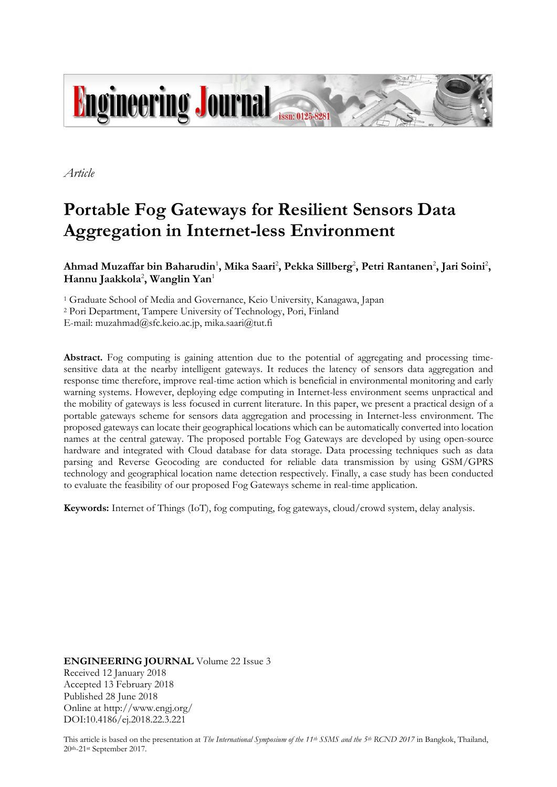

*Article*

# **Portable Fog Gateways for Resilient Sensors Data Aggregation in Internet-less Environment**

Ahmad Muzaffar bin Baharudin<sup>1</sup>, Mika Saari<sup>2</sup>, Pekka Sillberg<sup>2</sup>, Petri Rantanen<sup>2</sup>, Jari Soini<sup>2</sup>, **Hannu Jaakkola**<sup>2</sup> **, Wanglin Yan**<sup>1</sup>

<sup>1</sup> Graduate School of Media and Governance, Keio University, Kanagawa, Japan <sup>2</sup> Pori Department, Tampere University of Technology, Pori, Finland E-mail: muzahmad@sfc.keio.ac.jp, mika.saari@tut.fi

**Abstract.** Fog computing is gaining attention due to the potential of aggregating and processing timesensitive data at the nearby intelligent gateways. It reduces the latency of sensors data aggregation and response time therefore, improve real-time action which is beneficial in environmental monitoring and early warning systems. However, deploying edge computing in Internet-less environment seems unpractical and the mobility of gateways is less focused in current literature. In this paper, we present a practical design of a portable gateways scheme for sensors data aggregation and processing in Internet-less environment. The proposed gateways can locate their geographical locations which can be automatically converted into location names at the central gateway. The proposed portable Fog Gateways are developed by using open-source hardware and integrated with Cloud database for data storage. Data processing techniques such as data parsing and Reverse Geocoding are conducted for reliable data transmission by using GSM/GPRS technology and geographical location name detection respectively. Finally, a case study has been conducted to evaluate the feasibility of our proposed Fog Gateways scheme in real-time application.

**Keywords:** Internet of Things (IoT), fog computing, fog gateways, cloud/crowd system, delay analysis.

**ENGINEERING JOURNAL** Volume 22 Issue 3 Received 12 January 2018 Accepted 13 February 2018 Published 28 June 2018 Online at http://www.engj.org/ DOI:10.4186/ej.2018.22.3.221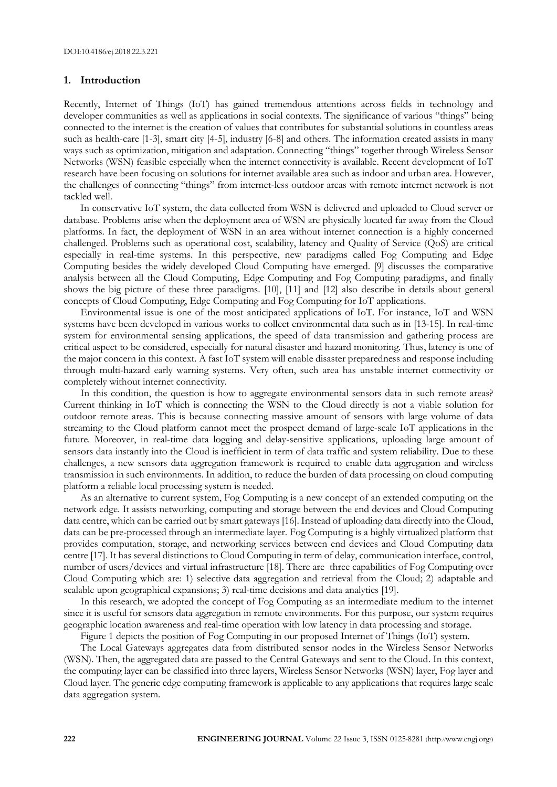### **1. Introduction**

Recently, Internet of Things (IoT) has gained tremendous attentions across fields in technology and developer communities as well as applications in social contexts. The significance of various "things" being connected to the internet is the creation of values that contributes for substantial solutions in countless areas such as health-care [1-3], smart city [4-5], industry [6-8] and others. The information created assists in many ways such as optimization, mitigation and adaptation. Connecting "things" together through Wireless Sensor Networks (WSN) feasible especially when the internet connectivity is available. Recent development of IoT research have been focusing on solutions for internet available area such as indoor and urban area. However, the challenges of connecting "things" from internet-less outdoor areas with remote internet network is not tackled well.

In conservative IoT system, the data collected from WSN is delivered and uploaded to Cloud server or database. Problems arise when the deployment area of WSN are physically located far away from the Cloud platforms. In fact, the deployment of WSN in an area without internet connection is a highly concerned challenged. Problems such as operational cost, scalability, latency and Quality of Service (QoS) are critical especially in real-time systems. In this perspective, new paradigms called Fog Computing and Edge Computing besides the widely developed Cloud Computing have emerged. [9] discusses the comparative analysis between all the Cloud Computing, Edge Computing and Fog Computing paradigms, and finally shows the big picture of these three paradigms. [10], [11] and [12] also describe in details about general concepts of Cloud Computing, Edge Computing and Fog Computing for IoT applications.

Environmental issue is one of the most anticipated applications of IoT. For instance, IoT and WSN systems have been developed in various works to collect environmental data such as in [13-15]. In real-time system for environmental sensing applications, the speed of data transmission and gathering process are critical aspect to be considered, especially for natural disaster and hazard monitoring. Thus, latency is one of the major concern in this context. A fast IoT system will enable disaster preparedness and response including through multi-hazard early warning systems. Very often, such area has unstable internet connectivity or completely without internet connectivity.

In this condition, the question is how to aggregate environmental sensors data in such remote areas? Current thinking in IoT which is connecting the WSN to the Cloud directly is not a viable solution for outdoor remote areas. This is because connecting massive amount of sensors with large volume of data streaming to the Cloud platform cannot meet the prospect demand of large-scale IoT applications in the future. Moreover, in real-time data logging and delay-sensitive applications, uploading large amount of sensors data instantly into the Cloud is inefficient in term of data traffic and system reliability. Due to these challenges, a new sensors data aggregation framework is required to enable data aggregation and wireless transmission in such environments. In addition, to reduce the burden of data processing on cloud computing platform a reliable local processing system is needed.

As an alternative to current system, Fog Computing is a new concept of an extended computing on the network edge. It assists networking, computing and storage between the end devices and Cloud Computing data centre, which can be carried out by smart gateways [16]. Instead of uploading data directly into the Cloud, data can be pre-processed through an intermediate layer. Fog Computing is a highly virtualized platform that provides computation, storage, and networking services between end devices and Cloud Computing data centre [17]. It has several distinctions to Cloud Computing in term of delay, communication interface, control, number of users/devices and virtual infrastructure [18]. There are three capabilities of Fog Computing over Cloud Computing which are: 1) selective data aggregation and retrieval from the Cloud; 2) adaptable and scalable upon geographical expansions; 3) real-time decisions and data analytics [19].

In this research, we adopted the concept of Fog Computing as an intermediate medium to the internet since it is useful for sensors data aggregation in remote environments. For this purpose, our system requires geographic location awareness and real-time operation with low latency in data processing and storage.

Figure 1 depicts the position of Fog Computing in our proposed Internet of Things (IoT) system.

The Local Gateways aggregates data from distributed sensor nodes in the Wireless Sensor Networks (WSN). Then, the aggregated data are passed to the Central Gateways and sent to the Cloud. In this context, the computing layer can be classified into three layers, Wireless Sensor Networks (WSN) layer, Fog layer and Cloud layer. The generic edge computing framework is applicable to any applications that requires large scale data aggregation system.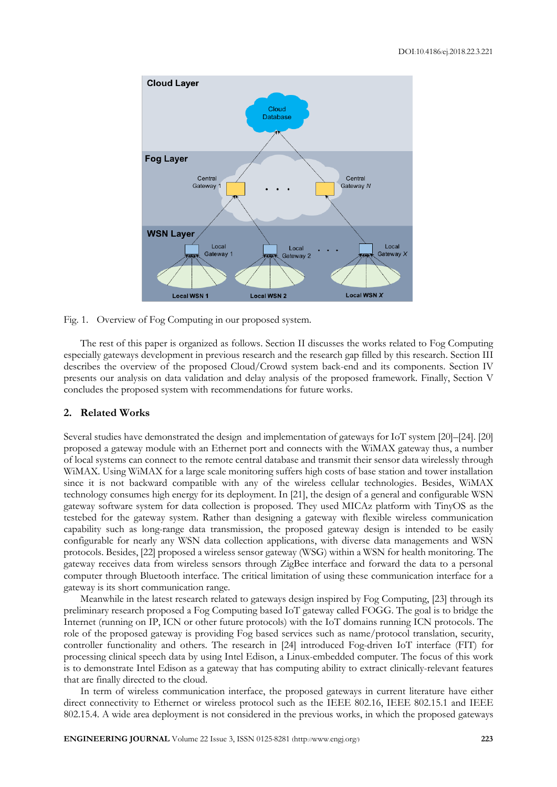

Fig. 1. Overview of Fog Computing in our proposed system.

The rest of this paper is organized as follows. Section II discusses the works related to Fog Computing especially gateways development in previous research and the research gap filled by this research. Section III describes the overview of the proposed Cloud/Crowd system back-end and its components. Section IV presents our analysis on data validation and delay analysis of the proposed framework. Finally, Section V concludes the proposed system with recommendations for future works.

## **2. Related Works**

Several studies have demonstrated the design and implementation of gateways for IoT system [20]–[24]. [20] proposed a gateway module with an Ethernet port and connects with the WiMAX gateway thus, a number of local systems can connect to the remote central database and transmit their sensor data wirelessly through WiMAX. Using WiMAX for a large scale monitoring suffers high costs of base station and tower installation since it is not backward compatible with any of the wireless cellular technologies. Besides, WiMAX technology consumes high energy for its deployment. In [21], the design of a general and configurable WSN gateway software system for data collection is proposed. They used MICAz platform with TinyOS as the testebed for the gateway system. Rather than designing a gateway with flexible wireless communication capability such as long-range data transmission, the proposed gateway design is intended to be easily configurable for nearly any WSN data collection applications, with diverse data managements and WSN protocols. Besides, [22] proposed a wireless sensor gateway (WSG) within a WSN for health monitoring. The gateway receives data from wireless sensors through ZigBee interface and forward the data to a personal computer through Bluetooth interface. The critical limitation of using these communication interface for a gateway is its short communication range.

Meanwhile in the latest research related to gateways design inspired by Fog Computing, [23] through its preliminary research proposed a Fog Computing based IoT gateway called FOGG. The goal is to bridge the Internet (running on IP, ICN or other future protocols) with the IoT domains running ICN protocols. The role of the proposed gateway is providing Fog based services such as name/protocol translation, security, controller functionality and others. The research in [24] introduced Fog-driven IoT interface (FIT) for processing clinical speech data by using Intel Edison, a Linux-embedded computer. The focus of this work is to demonstrate Intel Edison as a gateway that has computing ability to extract clinically-relevant features that are finally directed to the cloud.

In term of wireless communication interface, the proposed gateways in current literature have either direct connectivity to Ethernet or wireless protocol such as the IEEE 802.16, IEEE 802.15.1 and IEEE 802.15.4. A wide area deployment is not considered in the previous works, in which the proposed gateways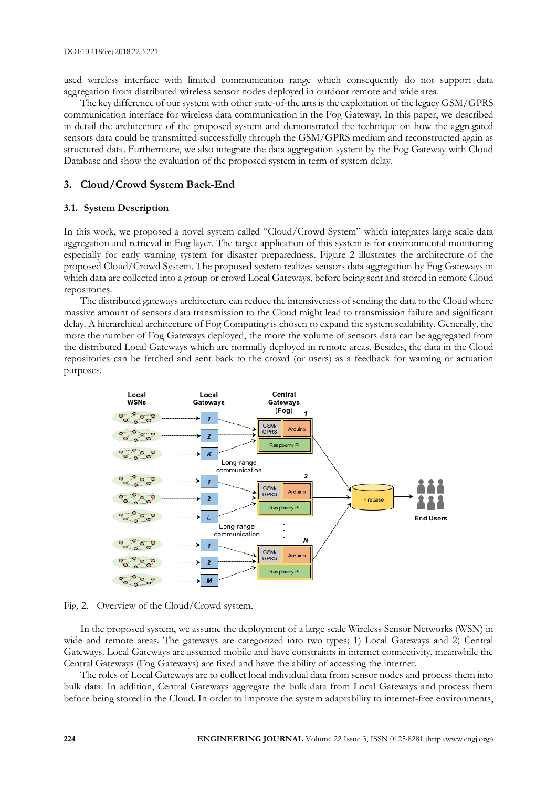used wireless interface with limited communication range which consequently do not support data aggregation from distributed wireless sensor nodes deployed in outdoor remote and wide area.

The key difference of our system with other state-of-the arts is the exploitation of the legacy GSM/GPRS communication interface for wireless data communication in the Fog Gateway. In this paper, we described in detail the architecture of the proposed system and demonstrated the technique on how the aggregated sensors data could be transmitted successfully through the GSM/GPRS medium and reconstructed again as structured data. Furthermore, we also integrate the data aggregation system by the Fog Gateway with Cloud Database and show the evaluation of the proposed system in term of system delay.

#### **3. Cloud/Crowd System Back-End**

#### **3.1. System Description**

In this work, we proposed a novel system called "Cloud/Crowd System" which integrates large scale data aggregation and retrieval in Fog layer. The target application of this system is for environmental monitoring especially for early warning system for disaster preparedness. Figure 2 illustrates the architecture of the proposed Cloud/Crowd System. The proposed system realizes sensors data aggregation by Fog Gateways in which data are collected into a group or crowd Local Gateways, before being sent and stored in remote Cloud repositories.

The distributed gateways architecture can reduce the intensiveness of sending the data to the Cloud where massive amount of sensors data transmission to the Cloud might lead to transmission failure and significant delay. A hierarchical architecture of Fog Computing is chosen to expand the system scalability. Generally, the more the number of Fog Gateways deployed, the more the volume of sensors data can be aggregated from the distributed Local Gateways which are normally deployed in remote areas. Besides, the data in the Cloud repositories can be fetched and sent back to the crowd (or users) as a feedback for warning or actuation purposes.



Fig. 2. Overview of the Cloud/Crowd system.

In the proposed system, we assume the deployment of a large scale Wireless Sensor Networks (WSN) in wide and remote areas. The gateways are categorized into two types; 1) Local Gateways and 2) Central Gateways. Local Gateways are assumed mobile and have constraints in internet connectivity, meanwhile the Central Gateways (Fog Gateways) are fixed and have the ability of accessing the internet.

The roles of Local Gateways are to collect local individual data from sensor nodes and process them into bulk data. In addition, Central Gateways aggregate the bulk data from Local Gateways and process them before being stored in the Cloud. In order to improve the system adaptability to internet-free environments,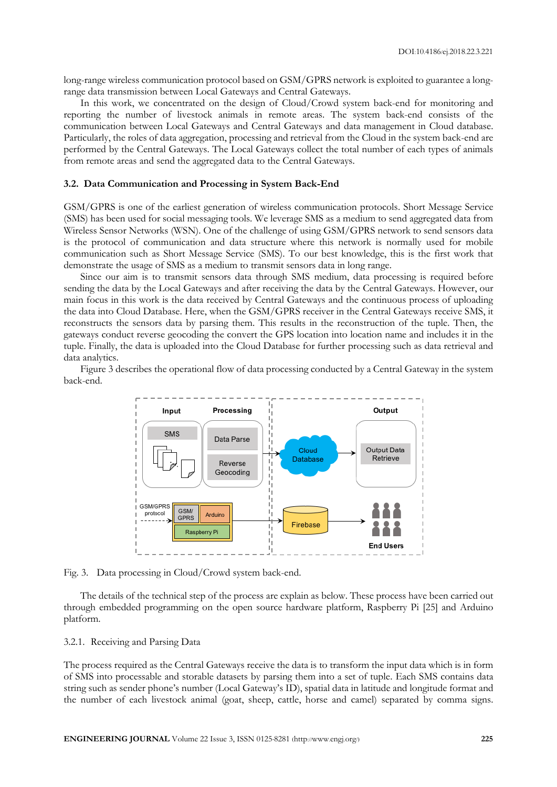long-range wireless communication protocol based on GSM/GPRS network is exploited to guarantee a longrange data transmission between Local Gateways and Central Gateways.

In this work, we concentrated on the design of Cloud/Crowd system back-end for monitoring and reporting the number of livestock animals in remote areas. The system back-end consists of the communication between Local Gateways and Central Gateways and data management in Cloud database. Particularly, the roles of data aggregation, processing and retrieval from the Cloud in the system back-end are performed by the Central Gateways. The Local Gateways collect the total number of each types of animals from remote areas and send the aggregated data to the Central Gateways.

#### **3.2. Data Communication and Processing in System Back-End**

GSM/GPRS is one of the earliest generation of wireless communication protocols. Short Message Service (SMS) has been used for social messaging tools. We leverage SMS as a medium to send aggregated data from Wireless Sensor Networks (WSN). One of the challenge of using GSM/GPRS network to send sensors data is the protocol of communication and data structure where this network is normally used for mobile communication such as Short Message Service (SMS). To our best knowledge, this is the first work that demonstrate the usage of SMS as a medium to transmit sensors data in long range.

Since our aim is to transmit sensors data through SMS medium, data processing is required before sending the data by the Local Gateways and after receiving the data by the Central Gateways. However, our main focus in this work is the data received by Central Gateways and the continuous process of uploading the data into Cloud Database. Here, when the GSM/GPRS receiver in the Central Gateways receive SMS, it reconstructs the sensors data by parsing them. This results in the reconstruction of the tuple. Then, the gateways conduct reverse geocoding the convert the GPS location into location name and includes it in the tuple. Finally, the data is uploaded into the Cloud Database for further processing such as data retrieval and data analytics.

Figure 3 describes the operational flow of data processing conducted by a Central Gateway in the system back-end.



Fig. 3. Data processing in Cloud/Crowd system back-end.

The details of the technical step of the process are explain as below. These process have been carried out through embedded programming on the open source hardware platform, Raspberry Pi [25] and Arduino platform.

#### 3.2.1. Receiving and Parsing Data

The process required as the Central Gateways receive the data is to transform the input data which is in form of SMS into processable and storable datasets by parsing them into a set of tuple. Each SMS contains data string such as sender phone's number (Local Gateway's ID), spatial data in latitude and longitude format and the number of each livestock animal (goat, sheep, cattle, horse and camel) separated by comma signs.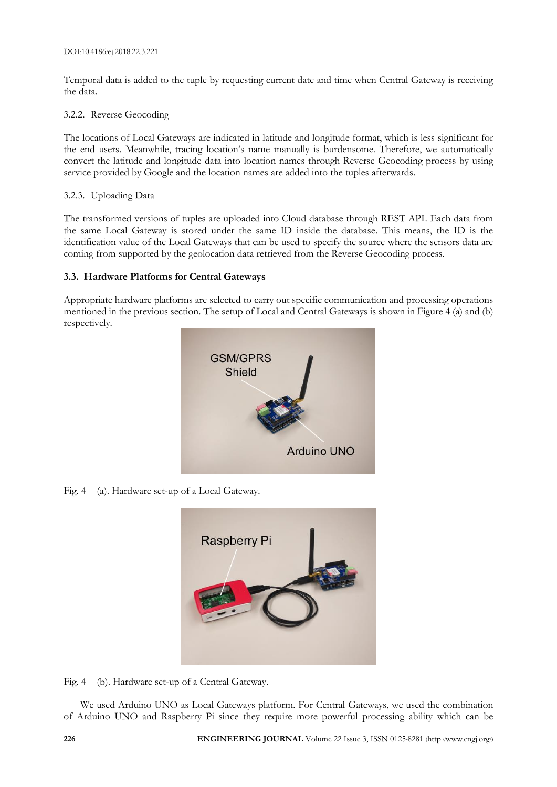Temporal data is added to the tuple by requesting current date and time when Central Gateway is receiving the data.

## 3.2.2. Reverse Geocoding

The locations of Local Gateways are indicated in latitude and longitude format, which is less significant for the end users. Meanwhile, tracing location's name manually is burdensome. Therefore, we automatically convert the latitude and longitude data into location names through Reverse Geocoding process by using service provided by Google and the location names are added into the tuples afterwards.

# 3.2.3. Uploading Data

The transformed versions of tuples are uploaded into Cloud database through REST API. Each data from the same Local Gateway is stored under the same ID inside the database. This means, the ID is the identification value of the Local Gateways that can be used to specify the source where the sensors data are coming from supported by the geolocation data retrieved from the Reverse Geocoding process.

# **3.3. Hardware Platforms for Central Gateways**

Appropriate hardware platforms are selected to carry out specific communication and processing operations mentioned in the previous section. The setup of Local and Central Gateways is shown in Figure 4 (a) and (b) respectively.



Fig. 4 (a). Hardware set-up of a Local Gateway.



Fig. 4 (b). Hardware set-up of a Central Gateway.

We used Arduino UNO as Local Gateways platform. For Central Gateways, we used the combination of Arduino UNO and Raspberry Pi since they require more powerful processing ability which can be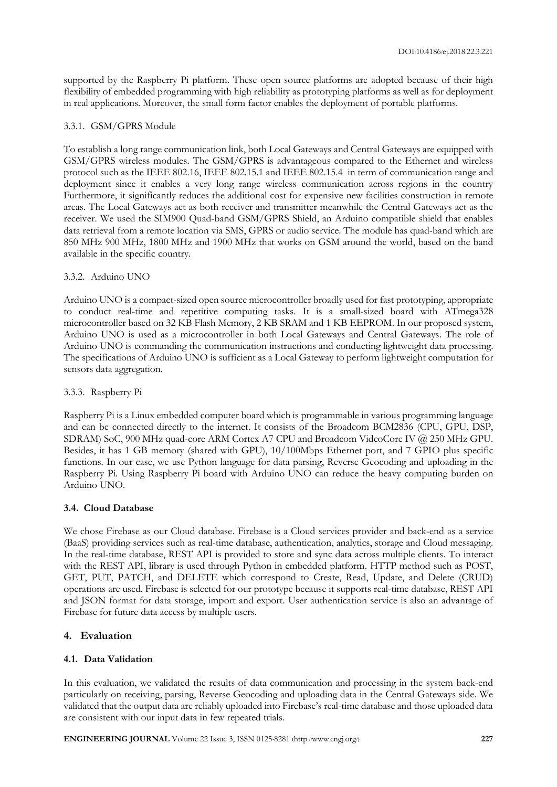supported by the Raspberry Pi platform. These open source platforms are adopted because of their high flexibility of embedded programming with high reliability as prototyping platforms as well as for deployment in real applications. Moreover, the small form factor enables the deployment of portable platforms.

## 3.3.1. GSM/GPRS Module

To establish a long range communication link, both Local Gateways and Central Gateways are equipped with GSM/GPRS wireless modules. The GSM/GPRS is advantageous compared to the Ethernet and wireless protocol such as the IEEE 802.16, IEEE 802.15.1 and IEEE 802.15.4 in term of communication range and deployment since it enables a very long range wireless communication across regions in the country Furthermore, it significantly reduces the additional cost for expensive new facilities construction in remote areas. The Local Gateways act as both receiver and transmitter meanwhile the Central Gateways act as the receiver. We used the SIM900 Quad-band GSM/GPRS Shield, an Arduino compatible shield that enables data retrieval from a remote location via SMS, GPRS or audio service. The module has quad-band which are 850 MHz 900 MHz, 1800 MHz and 1900 MHz that works on GSM around the world, based on the band available in the specific country.

#### 3.3.2. Arduino UNO

Arduino UNO is a compact-sized open source microcontroller broadly used for fast prototyping, appropriate to conduct real-time and repetitive computing tasks. It is a small-sized board with ATmega328 microcontroller based on 32 KB Flash Memory, 2 KB SRAM and 1 KB EEPROM. In our proposed system, Arduino UNO is used as a microcontroller in both Local Gateways and Central Gateways. The role of Arduino UNO is commanding the communication instructions and conducting lightweight data processing. The specifications of Arduino UNO is sufficient as a Local Gateway to perform lightweight computation for sensors data aggregation.

## 3.3.3. Raspberry Pi

Raspberry Pi is a Linux embedded computer board which is programmable in various programming language and can be connected directly to the internet. It consists of the Broadcom BCM2836 (CPU, GPU, DSP, SDRAM) SoC, 900 MHz quad-core ARM Cortex A7 CPU and Broadcom VideoCore IV @ 250 MHz GPU. Besides, it has 1 GB memory (shared with GPU), 10/100Mbps Ethernet port, and 7 GPIO plus specific functions. In our case, we use Python language for data parsing, Reverse Geocoding and uploading in the Raspberry Pi. Using Raspberry Pi board with Arduino UNO can reduce the heavy computing burden on Arduino UNO.

## **3.4. Cloud Database**

We chose Firebase as our Cloud database. Firebase is a Cloud services provider and back-end as a service (BaaS) providing services such as real-time database, authentication, analytics, storage and Cloud messaging. In the real-time database, REST API is provided to store and sync data across multiple clients. To interact with the REST API, library is used through Python in embedded platform. HTTP method such as POST, GET, PUT, PATCH, and DELETE which correspond to Create, Read, Update, and Delete (CRUD) operations are used. Firebase is selected for our prototype because it supports real-time database, REST API and JSON format for data storage, import and export. User authentication service is also an advantage of Firebase for future data access by multiple users.

## **4. Evaluation**

## **4.1. Data Validation**

In this evaluation, we validated the results of data communication and processing in the system back-end particularly on receiving, parsing, Reverse Geocoding and uploading data in the Central Gateways side. We validated that the output data are reliably uploaded into Firebase's real-time database and those uploaded data are consistent with our input data in few repeated trials.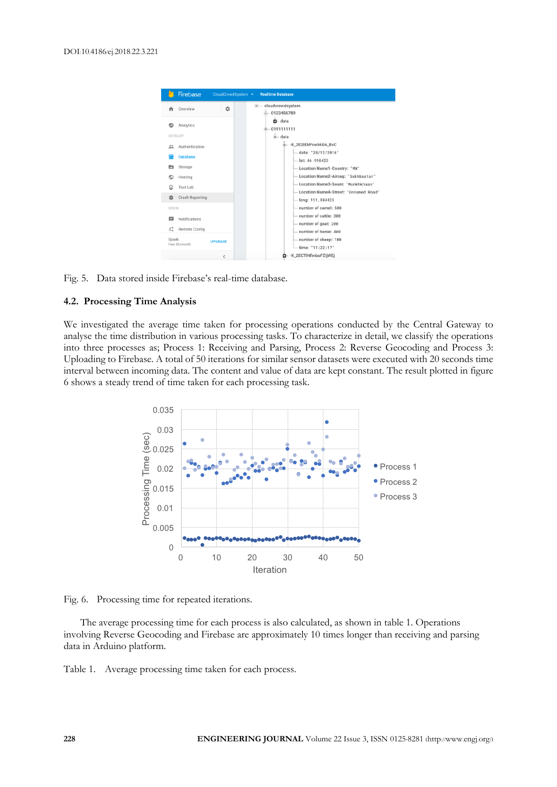

Fig. 5. Data stored inside Firebase's real-time database.

## **4.2. Processing Time Analysis**

We investigated the average time taken for processing operations conducted by the Central Gateway to analyse the time distribution in various processing tasks. To characterize in detail, we classify the operations into three processes as; Process 1: Receiving and Parsing, Process 2: Reverse Geocoding and Process 3: Uploading to Firebase. A total of 50 iterations for similar sensor datasets were executed with 20 seconds time interval between incoming data. The content and value of data are kept constant. The result plotted in figure 6 shows a steady trend of time taken for each processing task.



Fig. 6. Processing time for repeated iterations.

The average processing time for each process is also calculated, as shown in table 1. Operations involving Reverse Geocoding and Firebase are approximately 10 times longer than receiving and parsing data in Arduino platform.

Table 1. Average processing time taken for each process.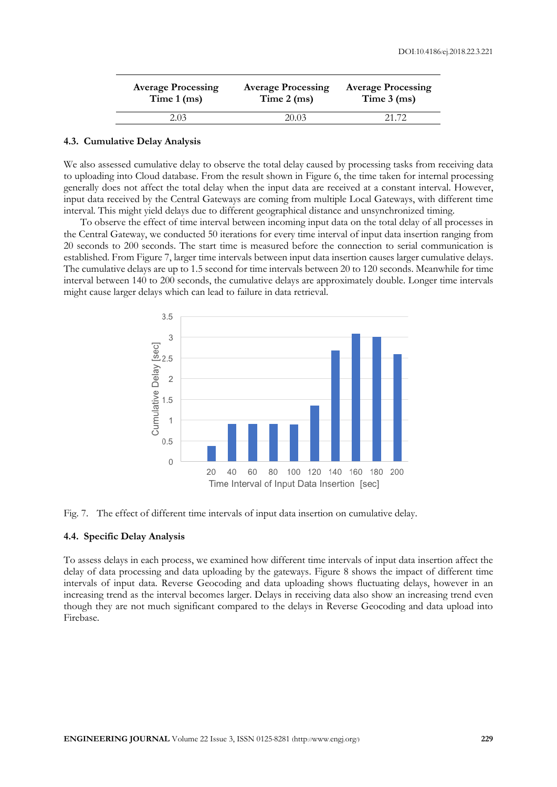| <b>Average Processing</b> | <b>Average Processing</b> | <b>Average Processing</b> |
|---------------------------|---------------------------|---------------------------|
| Time $1$ (ms)             | Time $2$ (ms)             | Time $3$ (ms)             |
| 2.03                      | 20.03                     | 21.72                     |

#### **4.3. Cumulative Delay Analysis**

We also assessed cumulative delay to observe the total delay caused by processing tasks from receiving data to uploading into Cloud database. From the result shown in Figure 6, the time taken for internal processing generally does not affect the total delay when the input data are received at a constant interval. However, input data received by the Central Gateways are coming from multiple Local Gateways, with different time interval. This might yield delays due to different geographical distance and unsynchronized timing.

To observe the effect of time interval between incoming input data on the total delay of all processes in the Central Gateway, we conducted 50 iterations for every time interval of input data insertion ranging from 20 seconds to 200 seconds. The start time is measured before the connection to serial communication is established. From Figure 7, larger time intervals between input data insertion causes larger cumulative delays. The cumulative delays are up to 1.5 second for time intervals between 20 to 120 seconds. Meanwhile for time interval between 140 to 200 seconds, the cumulative delays are approximately double. Longer time intervals might cause larger delays which can lead to failure in data retrieval.



Fig. 7. The effect of different time intervals of input data insertion on cumulative delay.

#### **4.4. Specific Delay Analysis**

To assess delays in each process, we examined how different time intervals of input data insertion affect the delay of data processing and data uploading by the gateways. Figure 8 shows the impact of different time intervals of input data. Reverse Geocoding and data uploading shows fluctuating delays, however in an increasing trend as the interval becomes larger. Delays in receiving data also show an increasing trend even though they are not much significant compared to the delays in Reverse Geocoding and data upload into Firebase.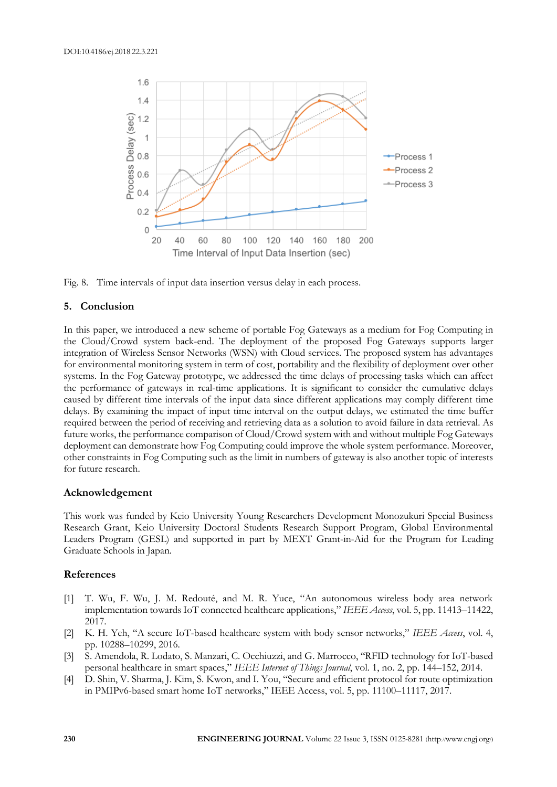

Fig. 8. Time intervals of input data insertion versus delay in each process.

## **5. Conclusion**

In this paper, we introduced a new scheme of portable Fog Gateways as a medium for Fog Computing in the Cloud/Crowd system back-end. The deployment of the proposed Fog Gateways supports larger integration of Wireless Sensor Networks (WSN) with Cloud services. The proposed system has advantages for environmental monitoring system in term of cost, portability and the flexibility of deployment over other systems. In the Fog Gateway prototype, we addressed the time delays of processing tasks which can affect the performance of gateways in real-time applications. It is significant to consider the cumulative delays caused by different time intervals of the input data since different applications may comply different time delays. By examining the impact of input time interval on the output delays, we estimated the time buffer required between the period of receiving and retrieving data as a solution to avoid failure in data retrieval. As future works, the performance comparison of Cloud/Crowd system with and without multiple Fog Gateways deployment can demonstrate how Fog Computing could improve the whole system performance. Moreover, other constraints in Fog Computing such as the limit in numbers of gateway is also another topic of interests for future research.

#### **Acknowledgement**

This work was funded by Keio University Young Researchers Development Monozukuri Special Business Research Grant, Keio University Doctoral Students Research Support Program, Global Environmental Leaders Program (GESL) and supported in part by MEXT Grant-in-Aid for the Program for Leading Graduate Schools in Japan.

#### **References**

- [1] T. Wu, F. Wu, J. M. Redouté, and M. R. Yuce, "An autonomous wireless body area network implementation towards IoT connected healthcare applications," *IEEE Access*, vol. 5, pp. 11413–11422, 2017.
- [2] K. H. Yeh, "A secure IoT-based healthcare system with body sensor networks," *IEEE Access*, vol. 4, pp. 10288–10299, 2016.
- [3] S. Amendola, R. Lodato, S. Manzari, C. Occhiuzzi, and G. Marrocco, "RFID technology for IoT-based personal healthcare in smart spaces," *IEEE Internet of Things Journal*, vol. 1, no. 2, pp. 144–152, 2014.
- [4] D. Shin, V. Sharma, J. Kim, S. Kwon, and I. You, "Secure and efficient protocol for route optimization in PMIPv6-based smart home IoT networks," IEEE Access, vol. 5, pp. 11100–11117, 2017.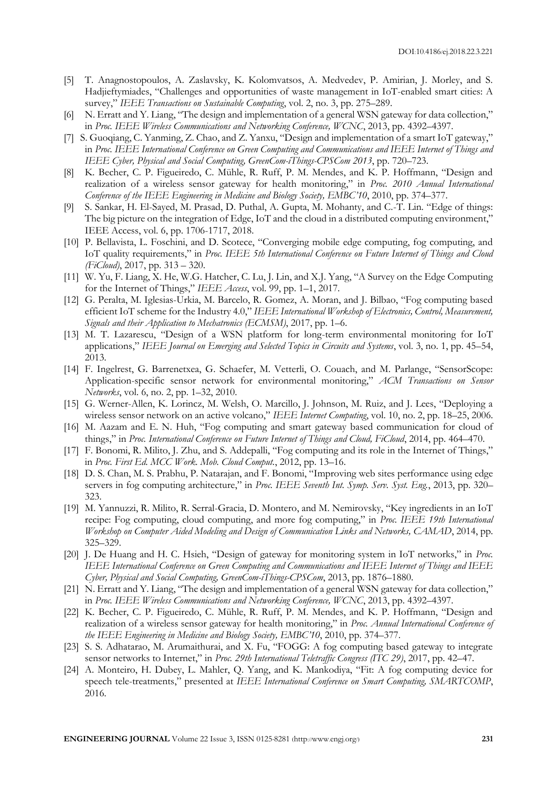- [5] T. Anagnostopoulos, A. Zaslavsky, K. Kolomvatsos, A. Medvedev, P. Amirian, J. Morley, and S. Hadjieftymiades, "Challenges and opportunities of waste management in IoT-enabled smart cities: A survey," *IEEE Transactions on Sustainable Computing*, vol. 2, no. 3, pp. 275–289.
- [6] N. Erratt and Y. Liang, "The design and implementation of a general WSN gateway for data collection," in *Proc. IEEE Wireless Communications and Networking Conference, WCNC*, 2013, pp. 4392–4397.
- [7] S. Guoqiang, C. Yanming, Z. Chao, and Z. Yanxu, "Design and implementation of a smart IoT gateway," in *Proc. IEEE International Conference on Green Computing and Communications and IEEE Internet of Things and IEEE Cyber, Physical and Social Computing, GreenCom-iThings-CPSCom 2013*, pp. 720–723.
- [8] K. Becher, C. P. Figueiredo, C. Mühle, R. Ruff, P. M. Mendes, and K. P. Hoffmann, "Design and realization of a wireless sensor gateway for health monitoring," in *Proc. 2010 Annual International Conference of the IEEE Engineering in Medicine and Biology Society, EMBC'10*, 2010, pp. 374–377.
- [9] S. Sankar, H. El-Sayed, M. Prasad, D. Puthal, A. Gupta, M. Mohanty, and C.-T. Lin. "Edge of things: The big picture on the integration of Edge, IoT and the cloud in a distributed computing environment," IEEE Access, vol. 6, pp. 1706-1717, 2018.
- [10] P. Bellavista, L. Foschini, and D. Scotece, "Converging mobile edge computing, fog computing, and IoT quality requirements," in *Proc. IEEE 5th International Conference on Future Internet of Things and Cloud (FiCloud)*, 2017, pp. 313 – 320.
- [11] W. Yu, F. Liang, X. He, W.G. Hatcher, C. Lu, J. Lin, and X.J. Yang, "A Survey on the Edge Computing for the Internet of Things," *IEEE Access*, vol. 99, pp. 1–1, 2017.
- [12] G. Peralta, M. Iglesias-Urkia, M. Barcelo, R. Gomez, A. Moran, and J. Bilbao, "Fog computing based efficient IoT scheme for the Industry 4.0," *IEEE International Workshop of Electronics, Control, Measurement, Signals and their Application to Mechatronics (ECMSM)*, 2017, pp. 1–6.
- [13] M. T. Lazarescu, "Design of a WSN platform for long-term environmental monitoring for IoT applications," *IEEE Journal on Emerging and Selected Topics in Circuits and Systems*, vol. 3, no. 1, pp. 45–54, 2013.
- [14] F. Ingelrest, G. Barrenetxea, G. Schaefer, M. Vetterli, O. Couach, and M. Parlange, "SensorScope: Application-specific sensor network for environmental monitoring," *ACM Transactions on Sensor Networks*, vol. 6, no. 2, pp. 1–32, 2010.
- [15] G. Werner-Allen, K. Lorincz, M. Welsh, O. Marcillo, J. Johnson, M. Ruiz, and J. Lees, "Deploying a wireless sensor network on an active volcano," *IEEE Internet Computing*, vol. 10, no. 2, pp. 18–25, 2006.
- [16] M. Aazam and E. N. Huh, "Fog computing and smart gateway based communication for cloud of things," in *Proc. International Conference on Future Internet of Things and Cloud, FiCloud*, 2014, pp. 464–470.
- [17] F. Bonomi, R. Milito, J. Zhu, and S. Addepalli, "Fog computing and its role in the Internet of Things," in *Proc. First Ed. MCC Work. Mob. Cloud Comput.*, 2012, pp. 13–16.
- [18] D. S. Chan, M. S. Prabhu, P. Natarajan, and F. Bonomi, "Improving web sites performance using edge servers in fog computing architecture," in *Proc. IEEE Seventh Int. Symp. Serv. Syst. Eng.*, 2013, pp. 320– 323.
- [19] M. Yannuzzi, R. Milito, R. Serral-Gracia, D. Montero, and M. Nemirovsky, "Key ingredients in an IoT recipe: Fog computing, cloud computing, and more fog computing," in *Proc. IEEE 19th International Workshop on Computer Aided Modeling and Design of Communication Links and Networks, CAMAD*, 2014, pp. 325–329.
- [20] J. De Huang and H. C. Hsieh, "Design of gateway for monitoring system in IoT networks," in *Proc. IEEE International Conference on Green Computing and Communications and IEEE Internet of Things and IEEE Cyber, Physical and Social Computing, GreenCom-iThings-CPSCom*, 2013, pp. 1876–1880.
- [21] N. Erratt and Y. Liang, "The design and implementation of a general WSN gateway for data collection," in *Proc. IEEE Wireless Communications and Networking Conference, WCNC*, 2013, pp. 4392–4397.
- [22] K. Becher, C. P. Figueiredo, C. Mühle, R. Ruff, P. M. Mendes, and K. P. Hoffmann, "Design and realization of a wireless sensor gateway for health monitoring," in *Proc. Annual International Conference of the IEEE Engineering in Medicine and Biology Society, EMBC'10*, 2010, pp. 374–377.
- [23] S. S. Adhatarao, M. Arumaithurai, and X. Fu, "FOGG: A fog computing based gateway to integrate sensor networks to Internet," in *Proc. 29th International Teletraffic Congress (ITC 29)*, 2017, pp. 42–47.
- [24] A. Monteiro, H. Dubey, L. Mahler, Q. Yang, and K. Mankodiya, "Fit: A fog computing device for speech tele-treatments," presented at *IEEE International Conference on Smart Computing, SMARTCOMP*, 2016.